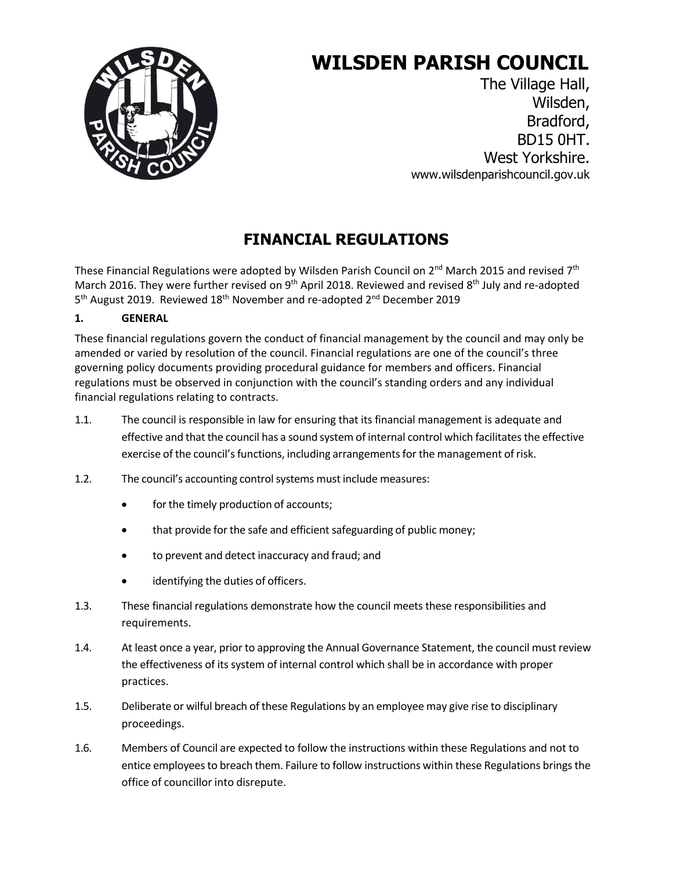

# **WILSDEN PARISH COUNCIL**

The Village Hall, Wilsden, Bradford, BD15 0HT. West Yorkshire. [www.wilsdenparishcouncil.gov.uk](http://www.wilsdenparishcouncil.gov.uk/)

# **FINANCIAL REGULATIONS**

These Financial Regulations were adopted by Wilsden Parish Council on  $2^{nd}$  March 2015 and revised  $7^{th}$ March 2016. They were further revised on 9<sup>th</sup> April 2018. Reviewed and revised 8<sup>th</sup> July and re-adopted 5<sup>th</sup> August 2019. Reviewed 18<sup>th</sup> November and re-adopted 2<sup>nd</sup> December 2019

## **1. GENERAL**

These financial regulations govern the conduct of financial management by the council and may only be amended or varied by resolution of the council. Financial regulations are one of the council's three governing policy documents providing procedural guidance for members and officers. Financial regulations must be observed in conjunction with the council's standing orders and any individual financial regulations relating to contracts.

- 1.1. The council is responsible in law for ensuring that its financial management is adequate and effective and that the council has a sound system of internal control which facilitates the effective exercise of the council's functions, including arrangements for the management of risk.
- 1.2. The council's accounting control systems must include measures:
	- for the timely production of accounts;
	- that provide for the safe and efficient safeguarding of public money;
	- to prevent and detect inaccuracy and fraud; and
	- identifying the duties of officers.
- 1.3. These financial regulations demonstrate how the council meets these responsibilities and requirements.
- 1.4. At least once a year, prior to approving the Annual Governance Statement, the council must review the effectiveness of its system of internal control which shall be in accordance with proper practices.
- 1.5. Deliberate or wilful breach of these Regulations by an employee may give rise to disciplinary proceedings.
- 1.6. Members of Council are expected to follow the instructions within these Regulations and not to entice employees to breach them. Failure to follow instructions within these Regulations brings the office of councillor into disrepute.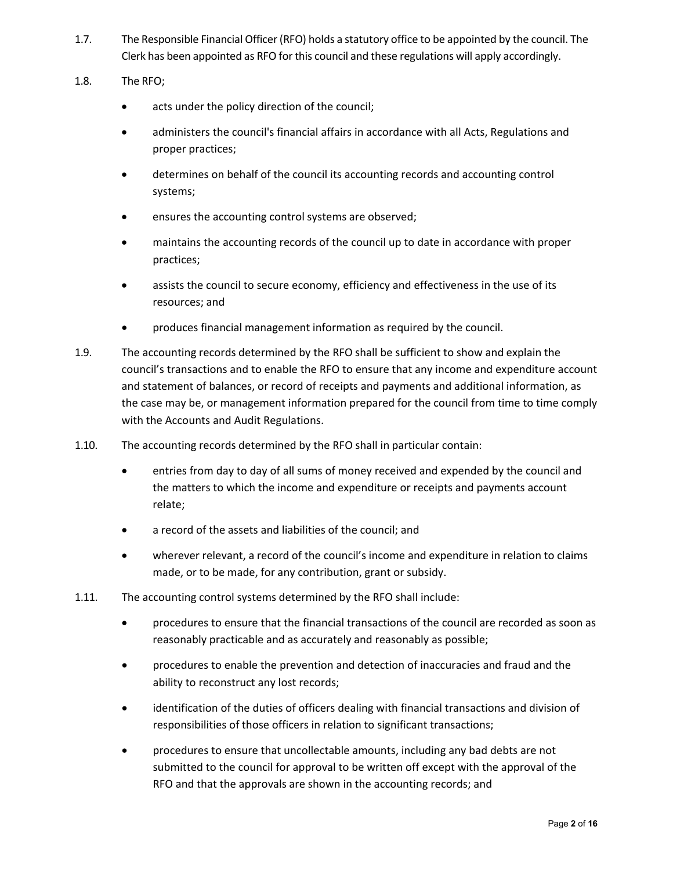- 1.7. The Responsible Financial Officer(RFO) holds a statutory office to be appointed by the council. The Clerk has been appointed as RFO for this council and these regulations will apply accordingly.
- 1.8. The RFO;
	- acts under the policy direction of the council;
	- administers the council's financial affairs in accordance with all Acts, Regulations and proper practices;
	- determines on behalf of the council its accounting records and accounting control systems;
	- ensures the accounting control systems are observed;
	- maintains the accounting records of the council up to date in accordance with proper practices;
	- assists the council to secure economy, efficiency and effectiveness in the use of its resources; and
	- produces financial management information as required by the council.
- 1.9. The accounting records determined by the RFO shall be sufficient to show and explain the council's transactions and to enable the RFO to ensure that any income and expenditure account and statement of balances, or record of receipts and payments and additional information, as the case may be, or management information prepared for the council from time to time comply with the Accounts and Audit Regulations.
- 1.10. The accounting records determined by the RFO shall in particular contain:
	- entries from day to day of all sums of money received and expended by the council and the matters to which the income and expenditure or receipts and payments account relate;
	- a record of the assets and liabilities of the council; and
	- wherever relevant, a record of the council's income and expenditure in relation to claims made, or to be made, for any contribution, grant or subsidy.
- 1.11. The accounting control systems determined by the RFO shall include:
	- procedures to ensure that the financial transactions of the council are recorded as soon as reasonably practicable and as accurately and reasonably as possible;
	- procedures to enable the prevention and detection of inaccuracies and fraud and the ability to reconstruct any lost records;
	- identification of the duties of officers dealing with financial transactions and division of responsibilities of those officers in relation to significant transactions;
	- procedures to ensure that uncollectable amounts, including any bad debts are not submitted to the council for approval to be written off except with the approval of the RFO and that the approvals are shown in the accounting records; and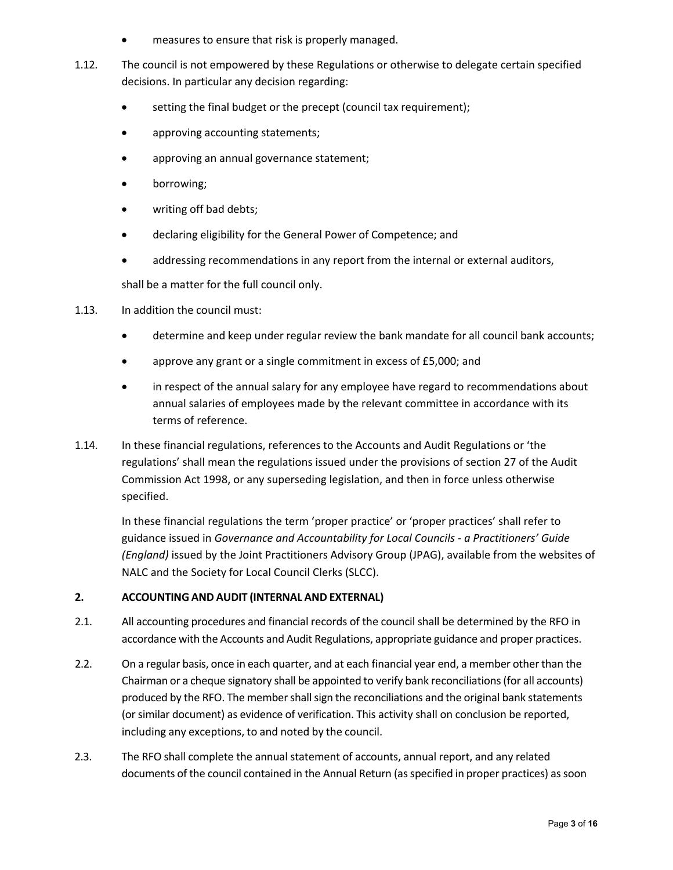- measures to ensure that risk is properly managed.
- 1.12. The council is not empowered by these Regulations or otherwise to delegate certain specified decisions. In particular any decision regarding:
	- setting the final budget or the precept (council tax requirement);
	- approving accounting statements;
	- approving an annual governance statement;
	- borrowing;
	- writing off bad debts;
	- declaring eligibility for the General Power of Competence; and
	- addressing recommendations in any report from the internal or external auditors,

shall be a matter for the full council only.

- 1.13. In addition the council must:
	- determine and keep under regular review the bank mandate for all council bank accounts;
	- approve any grant or a single commitment in excess of £5,000; and
	- in respect of the annual salary for any employee have regard to recommendations about annual salaries of employees made by the relevant committee in accordance with its terms of reference.
- 1.14. In these financial regulations, references to the Accounts and Audit Regulations or 'the regulations' shall mean the regulations issued under the provisions of section 27 of the Audit Commission Act 1998, or any superseding legislation, and then in force unless otherwise specified.

In these financial regulations the term 'proper practice' or 'proper practices' shall refer to guidance issued in *Governance and Accountability for Local Councils - a Practitioners' Guide (England)* issued by the Joint Practitioners Advisory Group (JPAG), available from the websites of NALC and the Society for Local Council Clerks (SLCC).

#### **2. ACCOUNTING AND AUDIT (INTERNAL AND EXTERNAL)**

- 2.1. All accounting procedures and financial records of the council shall be determined by the RFO in accordance with the Accounts and Audit Regulations, appropriate guidance and proper practices.
- 2.2. On a regular basis, once in each quarter, and at each financial year end, a member other than the Chairman or a cheque signatory shall be appointed to verify bank reconciliations(for all accounts) produced by the RFO. The member shall sign the reconciliations and the original bank statements (or similar document) as evidence of verification. This activity shall on conclusion be reported, including any exceptions, to and noted by the council.
- 2.3. The RFO shall complete the annual statement of accounts, annual report, and any related documents of the council contained in the Annual Return (as specified in proper practices) as soon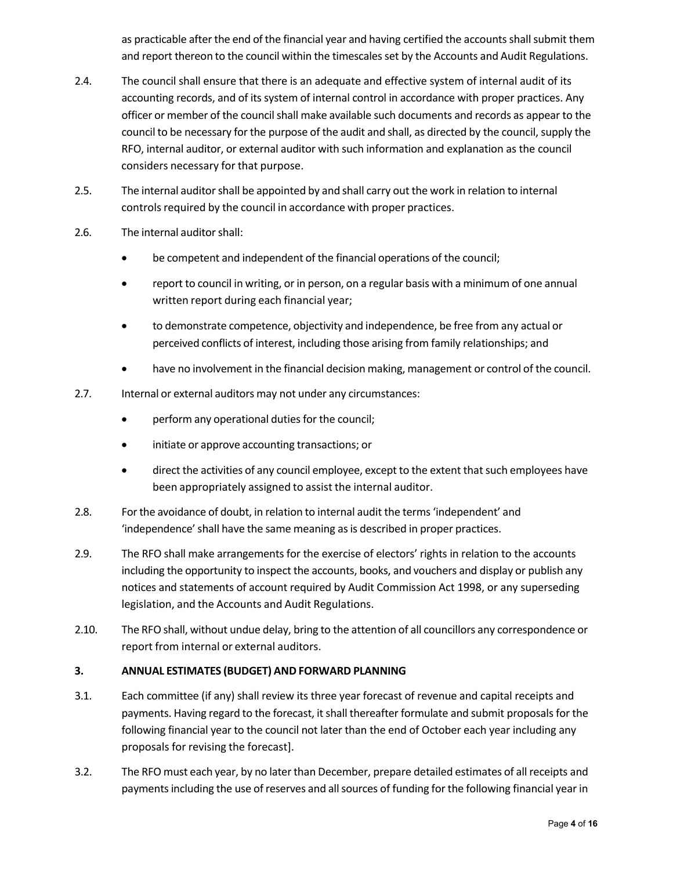as practicable after the end of the financial year and having certified the accounts shall submit them and report thereon to the council within the timescales set by the Accounts and Audit Regulations.

- 2.4. The council shall ensure that there is an adequate and effective system of internal audit of its accounting records, and of its system of internal control in accordance with proper practices. Any officer or member of the council shall make available such documents and records as appear to the council to be necessary for the purpose of the audit and shall, as directed by the council, supply the RFO, internal auditor, or external auditor with such information and explanation as the council considers necessary for that purpose.
- 2.5. The internal auditor shall be appointed by and shall carry out the work in relation to internal controls required by the council in accordance with proper practices.
- 2.6. The internal auditorshall:
	- be competent and independent of the financial operations of the council;
	- report to council in writing, or in person, on a regular basis with a minimum of one annual written report during each financial year;
	- to demonstrate competence, objectivity and independence, be free from any actual or perceived conflicts of interest, including those arising from family relationships; and
	- have no involvement in the financial decision making, management or control of the council.
- 2.7. Internal or external auditors may not under any circumstances:
	- perform any operational duties for the council;
	- initiate or approve accounting transactions; or
	- direct the activities of any council employee, except to the extent that such employees have been appropriately assigned to assist the internal auditor.
- 2.8. Forthe avoidance of doubt, in relation to internal audit the terms'independent' and 'independence'shall have the same meaning asis described in proper practices.
- 2.9. The RFO shall make arrangements for the exercise of electors' rights in relation to the accounts including the opportunity to inspect the accounts, books, and vouchers and display or publish any notices and statements of account required by Audit Commission Act 1998, or any superseding legislation, and the Accounts and Audit Regulations.
- 2.10. The RFO shall, without undue delay, bring to the attention of all councillors any correspondence or report from internal or external auditors.

#### **3. ANNUAL ESTIMATES (BUDGET) AND FORWARD PLANNING**

- 3.1. Each committee (if any) shall review its three year forecast of revenue and capital receipts and payments. Having regard to the forecast, it shall thereafter formulate and submit proposals for the following financial year to the council not later than the end of October each year including any proposals for revising the forecast].
- 3.2. The RFO must each year, by no laterthan December, prepare detailed estimates of all receipts and payments including the use of reserves and all sources of funding for the following financial year in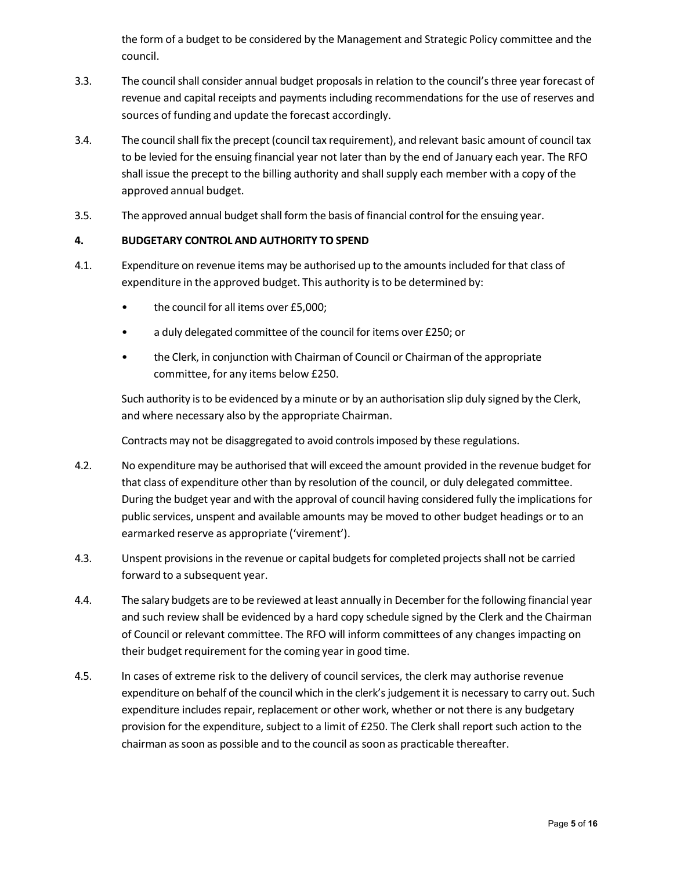the form of a budget to be considered by the Management and Strategic Policy committee and the council.

- 3.3. The councilshall consider annual budget proposalsin relation to the council'sthree year forecast of revenue and capital receipts and payments including recommendations for the use of reserves and sources of funding and update the forecast accordingly.
- 3.4. The councilshall fix the precept (council tax requirement), and relevant basic amount of council tax to be levied for the ensuing financial year not later than by the end of January each year. The RFO shall issue the precept to the billing authority and shall supply each member with a copy of the approved annual budget.
- 3.5. The approved annual budget shall form the basis of financial control for the ensuing year.

#### **4. BUDGETARY CONTROL AND AUTHORITY TO SPEND**

- 4.1. Expenditure on revenue items may be authorised up to the amountsincluded for that class of expenditure in the approved budget. This authority is to be determined by:
	- the council for all items over £5,000;
	- a duly delegated committee of the council for items over £250; or
	- the Clerk, in conjunction with Chairman of Council or Chairman of the appropriate committee, for any items below £250.

Such authority is to be evidenced by a minute or by an authorisation slip duly signed by the Clerk, and where necessary also by the appropriate Chairman.

Contracts may not be disaggregated to avoid controlsimposed by these regulations.

- 4.2. No expenditure may be authorised that will exceed the amount provided in the revenue budget for that class of expenditure other than by resolution of the council, or duly delegated committee. During the budget year and with the approval of council having considered fully the implications for public services, unspent and available amounts may be moved to other budget headings or to an earmarked reserve as appropriate ('virement').
- 4.3. Unspent provisions in the revenue or capital budgets for completed projects shall not be carried forward to a subsequent year.
- 4.4. The salary budgets are to be reviewed at least annually in December forthe following financial year and such review shall be evidenced by a hard copy schedule signed by the Clerk and the Chairman of Council or relevant committee. The RFO will inform committees of any changes impacting on their budget requirement for the coming year in good time.
- 4.5. In cases of extreme risk to the delivery of council services, the clerk may authorise revenue expenditure on behalf of the council which in the clerk's judgement it is necessary to carry out. Such expenditure includes repair, replacement or other work, whether or not there is any budgetary provision for the expenditure, subject to a limit of £250. The Clerk shall report such action to the chairman as soon as possible and to the council as soon as practicable thereafter.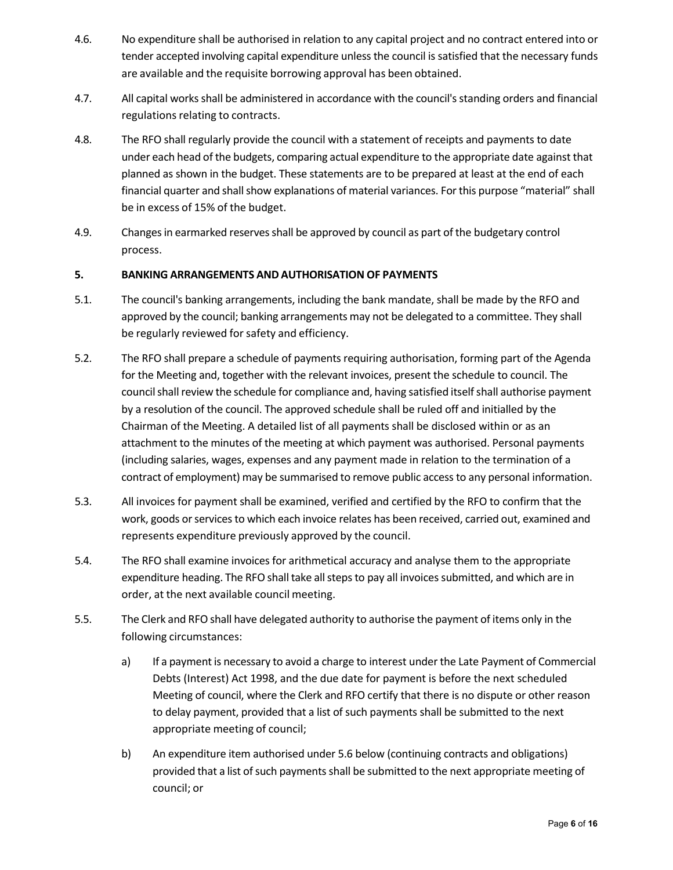- 4.6. No expenditure shall be authorised in relation to any capital project and no contract entered into or tender accepted involving capital expenditure unless the council is satisfied that the necessary funds are available and the requisite borrowing approval has been obtained.
- 4.7. All capital worksshall be administered in accordance with the council'sstanding orders and financial regulations relating to contracts.
- 4.8. The RFO shall regularly provide the council with a statement of receipts and payments to date under each head of the budgets, comparing actual expenditure to the appropriate date against that planned as shown in the budget. These statements are to be prepared at least at the end of each financial quarter and shall show explanations of material variances. For this purpose "material" shall be in excess of 15% of the budget.
- 4.9. Changesin earmarked reservesshall be approved by council as part of the budgetary control process.

#### **5. BANKING ARRANGEMENTS AND AUTHORISATION OF PAYMENTS**

- 5.1. The council's banking arrangements, including the bank mandate, shall be made by the RFO and approved by the council; banking arrangements may not be delegated to a committee. They shall be regularly reviewed for safety and efficiency.
- 5.2. The RFO shall prepare a schedule of payments requiring authorisation, forming part of the Agenda for the Meeting and, together with the relevant invoices, present the schedule to council. The council shall review the schedule for compliance and, having satisfied itself shall authorise payment by a resolution of the council. The approved schedule shall be ruled off and initialled by the Chairman of the Meeting. A detailed list of all payments shall be disclosed within or as an attachment to the minutes of the meeting at which payment was authorised. Personal payments (including salaries, wages, expenses and any payment made in relation to the termination of a contract of employment) may be summarised to remove public accessto any personal information.
- 5.3. All invoices for payment shall be examined, verified and certified by the RFO to confirm that the work, goods or services to which each invoice relates has been received, carried out, examined and represents expenditure previously approved by the council.
- 5.4. The RFO shall examine invoices for arithmetical accuracy and analyse them to the appropriate expenditure heading. The RFO shall take all steps to pay all invoices submitted, and which are in order, at the next available council meeting.
- 5.5. The Clerk and RFO shall have delegated authority to authorise the payment of items only in the following circumstances:
	- a) If a payment is necessary to avoid a charge to interest under the Late Payment of Commercial Debts (Interest) Act 1998, and the due date for payment is before the next scheduled Meeting of council, where the Clerk and RFO certify that there is no dispute or other reason to delay payment, provided that a list of such payments shall be submitted to the next appropriate meeting of council;
	- b) An expenditure item authorised under 5.6 below (continuing contracts and obligations) provided that a list of such payments shall be submitted to the next appropriate meeting of council; or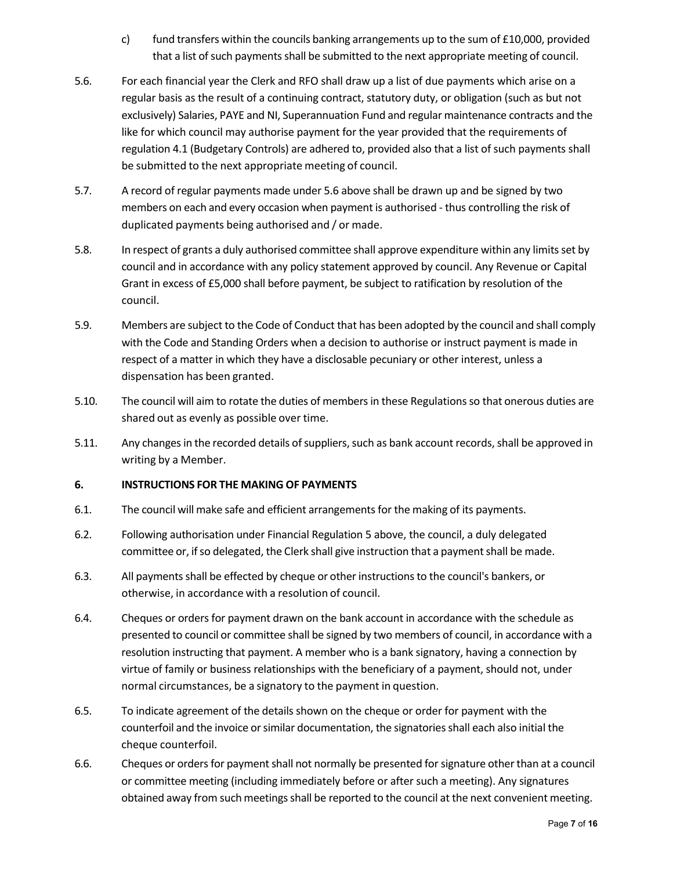- c) fund transfers within the councils banking arrangements up to the sum of  $£10,000$ , provided that a list of such payments shall be submitted to the next appropriate meeting of council.
- 5.6. For each financial year the Clerk and RFO shall draw up a list of due payments which arise on a regular basis as the result of a continuing contract, statutory duty, or obligation (such as but not exclusively) Salaries, PAYE and NI, Superannuation Fund and regular maintenance contracts and the like for which council may authorise payment for the year provided that the requirements of regulation 4.1 (Budgetary Controls) are adhered to, provided also that a list of such payments shall be submitted to the next appropriate meeting of council.
- 5.7. A record of regular payments made under 5.6 above shall be drawn up and be signed by two members on each and every occasion when payment is authorised - thus controlling the risk of duplicated payments being authorised and / or made.
- 5.8. In respect of grants a duly authorised committee shall approve expenditure within any limitsset by council and in accordance with any policy statement approved by council. Any Revenue or Capital Grant in excess of £5,000 shall before payment, be subject to ratification by resolution of the council.
- 5.9. Members are subject to the Code of Conduct that has been adopted by the council and shall comply with the Code and Standing Orders when a decision to authorise or instruct payment is made in respect of a matter in which they have a disclosable pecuniary or other interest, unless a dispensation has been granted.
- 5.10. The council will aim to rotate the duties of membersin these Regulationsso that onerous duties are shared out as evenly as possible over time.
- 5.11. Any changes in the recorded details of suppliers, such as bank account records, shall be approved in writing by a Member.

#### **6. INSTRUCTIONS FOR THE MAKING OF PAYMENTS**

- 6.1. The council will make safe and efficient arrangementsfor the making of its payments.
- 6.2. Following authorisation under Financial Regulation 5 above, the council, a duly delegated committee or, if so delegated, the Clerk shall give instruction that a payment shall be made.
- 6.3. All paymentsshall be effected by cheque or other instructionsto the council's bankers, or otherwise, in accordance with a resolution of council.
- 6.4. Cheques or orders for payment drawn on the bank account in accordance with the schedule as presented to council or committee shall be signed by two members of council, in accordance with a resolution instructing that payment. A member who is a bank signatory, having a connection by virtue of family or business relationships with the beneficiary of a payment, should not, under normal circumstances, be a signatory to the payment in question.
- 6.5. To indicate agreement of the details shown on the cheque or order for payment with the counterfoil and the invoice orsimilar documentation, the signatoriesshall each also initial the cheque counterfoil.
- 6.6. Cheques or orders for payment shall not normally be presented for signature other than at a council or committee meeting (including immediately before or after such a meeting). Any signatures obtained away from such meetings shall be reported to the council at the next convenient meeting.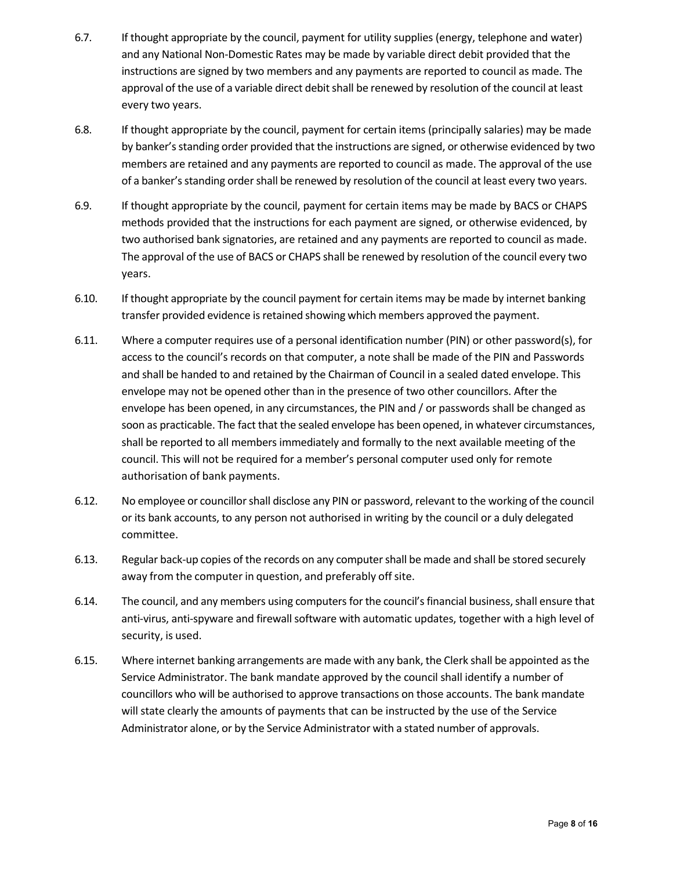- 6.7. If thought appropriate by the council, payment for utility supplies (energy, telephone and water) and any National Non-Domestic Rates may be made by variable direct debit provided that the instructions are signed by two members and any payments are reported to council as made. The approval of the use of a variable direct debit shall be renewed by resolution of the council at least every two years.
- 6.8. If thought appropriate by the council, payment for certain items (principally salaries) may be made by banker'sstanding order provided that the instructions are signed, or otherwise evidenced by two members are retained and any payments are reported to council as made. The approval of the use of a banker's standing order shall be renewed by resolution of the council at least every two years.
- 6.9. If thought appropriate by the council, payment for certain items may be made by BACS or CHAPS methods provided that the instructions for each payment are signed, or otherwise evidenced, by two authorised bank signatories, are retained and any payments are reported to council as made. The approval of the use of BACS or CHAPS shall be renewed by resolution of the council every two years.
- 6.10. If thought appropriate by the council payment for certain items may be made by internet banking transfer provided evidence is retained showing which members approved the payment.
- 6.11. Where a computer requires use of a personal identification number (PIN) or other password(s), for access to the council's records on that computer, a note shall be made of the PIN and Passwords and shall be handed to and retained by the Chairman of Council in a sealed dated envelope. This envelope may not be opened other than in the presence of two other councillors. After the envelope has been opened, in any circumstances, the PIN and / or passwords shall be changed as soon as practicable. The fact that the sealed envelope has been opened, in whatever circumstances, shall be reported to all members immediately and formally to the next available meeting of the council. This will not be required for a member's personal computer used only for remote authorisation of bank payments.
- 6.12. No employee or councillorshall disclose any PIN or password, relevant to the working of the council or its bank accounts, to any person not authorised in writing by the council or a duly delegated committee.
- 6.13. Regular back-up copies of the records on any computershall be made and shall be stored securely away from the computer in question, and preferably off site.
- 6.14. The council, and any members using computers for the council's financial business, shall ensure that anti-virus, anti-spyware and firewall software with automatic updates, together with a high level of security, is used.
- 6.15. Where internet banking arrangements are made with any bank, the Clerk shall be appointed asthe Service Administrator. The bank mandate approved by the council shall identify a number of councillors who will be authorised to approve transactions on those accounts. The bank mandate will state clearly the amounts of payments that can be instructed by the use of the Service Administrator alone, or by the Service Administrator with a stated number of approvals.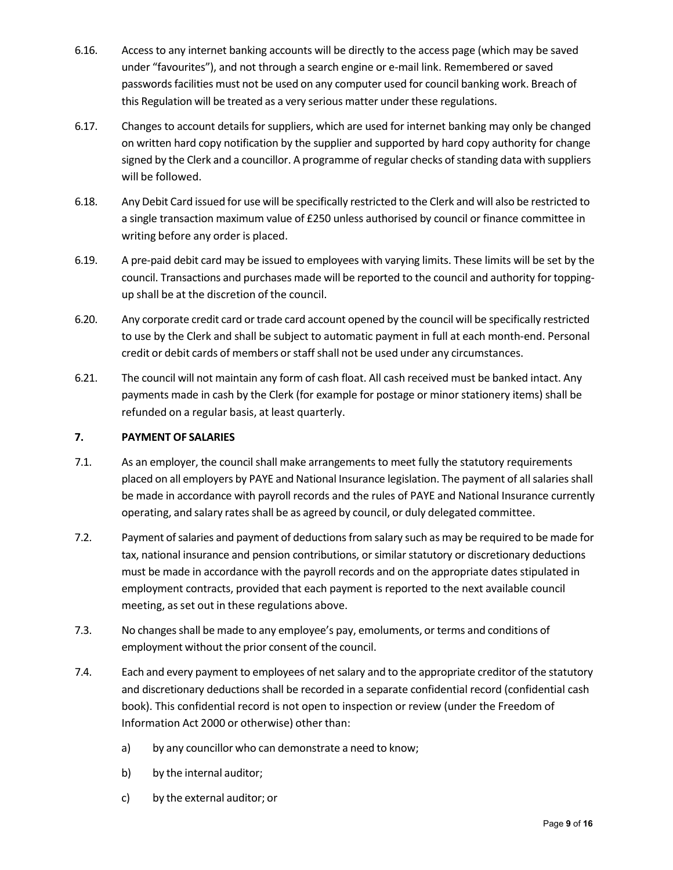- 6.16. Access to any internet banking accounts will be directly to the access page (which may be saved under "favourites"), and not through a search engine or e-mail link. Remembered or saved passwords facilities must not be used on any computer used for council banking work. Breach of this Regulation will be treated as a very serious matter under these regulations.
- 6.17. Changes to account details for suppliers, which are used for internet banking may only be changed on written hard copy notification by the supplier and supported by hard copy authority for change signed by the Clerk and a councillor. A programme of regular checks of standing data with suppliers will be followed.
- 6.18. Any Debit Card issued for use will be specifically restricted to the Clerk and will also be restricted to a single transaction maximum value of £250 unless authorised by council or finance committee in writing before any order is placed.
- 6.19. A pre-paid debit card may be issued to employees with varying limits. These limits will be set by the council. Transactions and purchases made will be reported to the council and authority for toppingup shall be at the discretion of the council.
- 6.20. Any corporate credit card ortrade card account opened by the council will be specifically restricted to use by the Clerk and shall be subject to automatic payment in full at each month-end. Personal credit or debit cards of members orstaffshall not be used under any circumstances.
- 6.21. The council will not maintain any form of cash float. All cash received must be banked intact. Any payments made in cash by the Clerk (for example for postage or minor stationery items) shall be refunded on a regular basis, at least quarterly.

#### **7. PAYMENT OF SALARIES**

- 7.1. As an employer, the council shall make arrangements to meet fully the statutory requirements placed on all employers by PAYE and National Insurance legislation. The payment of all salaries shall be made in accordance with payroll records and the rules of PAYE and National Insurance currently operating, and salary rates shall be as agreed by council, or duly delegated committee.
- 7.2. Payment of salaries and payment of deductions from salary such as may be required to be made for tax, national insurance and pension contributions, or similar statutory or discretionary deductions must be made in accordance with the payroll records and on the appropriate dates stipulated in employment contracts, provided that each payment is reported to the next available council meeting, as set out in these regulations above.
- 7.3. No changes shall be made to any employee's pay, emoluments, or terms and conditions of employment without the prior consent of the council.
- 7.4. Each and every payment to employees of netsalary and to the appropriate creditor of the statutory and discretionary deductions shall be recorded in a separate confidential record (confidential cash book). This confidential record is not open to inspection or review (under the Freedom of Information Act 2000 or otherwise) other than:
	- a) by any councillor who can demonstrate a need to know;
	- b) by the internal auditor;
	- c) by the external auditor; or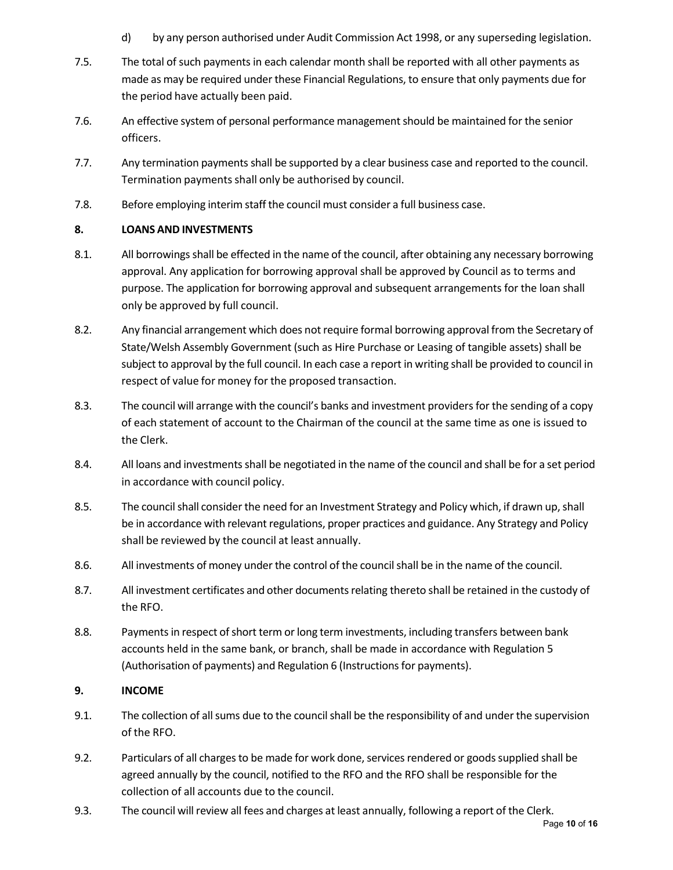- d) by any person authorised under Audit Commission Act 1998, or any superseding legislation.
- 7.5. The total of such payments in each calendar month shall be reported with all other payments as made as may be required under these Financial Regulations, to ensure that only payments due for the period have actually been paid.
- 7.6. An effective system of personal performance management should be maintained for the senior officers.
- 7.7. Any termination payments shall be supported by a clear business case and reported to the council. Termination payments shall only be authorised by council.
- 7.8. Before employing interim staff the council must consider a full business case.

#### **8. LOANS AND INVESTMENTS**

- 8.1. All borrowings shall be effected in the name of the council, after obtaining any necessary borrowing approval. Any application for borrowing approval shall be approved by Council as to terms and purpose. The application for borrowing approval and subsequent arrangements for the loan shall only be approved by full council.
- 8.2. Any financial arrangement which does not require formal borrowing approval from the Secretary of State/Welsh Assembly Government (such as Hire Purchase or Leasing of tangible assets) shall be subject to approval by the full council. In each case a report in writing shall be provided to council in respect of value for money for the proposed transaction.
- 8.3. The council will arrange with the council's banks and investment providersfor the sending of a copy of each statement of account to the Chairman of the council at the same time as one is issued to the Clerk.
- 8.4. All loans and investments shall be negotiated in the name of the council and shall be for a set period in accordance with council policy.
- 8.5. The council shall consider the need for an Investment Strategy and Policy which, if drawn up,shall be in accordance with relevant regulations, proper practices and guidance. Any Strategy and Policy shall be reviewed by the council at least annually.
- 8.6. All investments of money under the control of the councilshall be in the name of the council.
- 8.7. All investment certificates and other documents relating thereto shall be retained in the custody of the RFO.
- 8.8. Payments in respect of short term or long term investments, including transfers between bank accounts held in the same bank, or branch, shall be made in accordance with Regulation 5 (Authorisation of payments) and Regulation 6 (Instructions for payments).

#### **9. INCOME**

- 9.1. The collection of allsums due to the councilshall be the responsibility of and under the supervision of the RFO.
- 9.2. Particulars of all charges to be made for work done, services rendered or goods supplied shall be agreed annually by the council, notified to the RFO and the RFO shall be responsible for the collection of all accounts due to the council.
- 9.3. The council will review all fees and charges at least annually, following a report of the Clerk.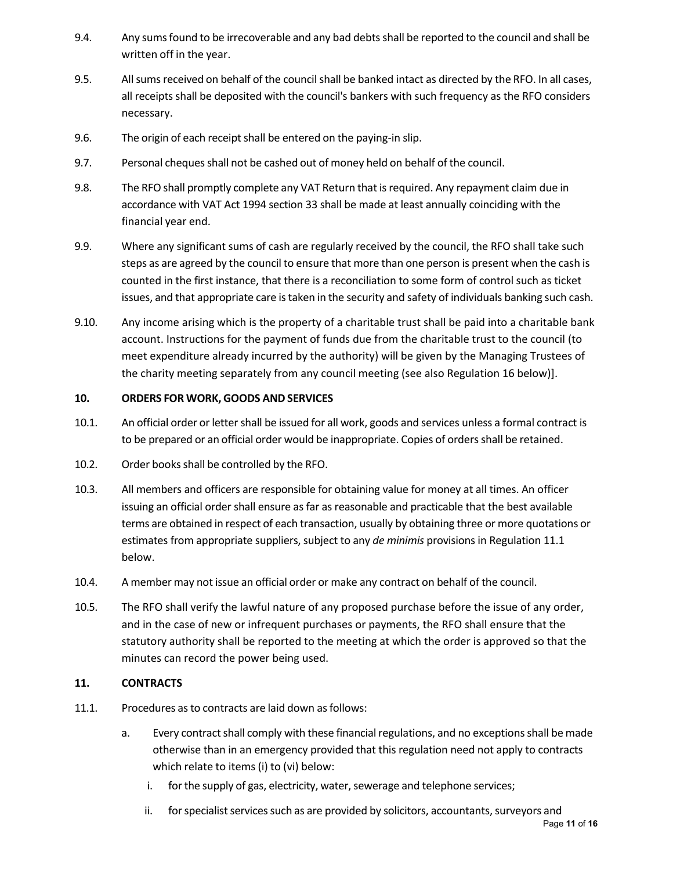- 9.4. Any sumsfound to be irrecoverable and any bad debtsshall be reported to the council and shall be written off in the year.
- 9.5. All sums received on behalf of the council shall be banked intact as directed by the RFO. In all cases, all receipts shall be deposited with the council's bankers with such frequency as the RFO considers necessary.
- 9.6. The origin of each receipt shall be entered on the paying-in slip.
- 9.7. Personal cheques shall not be cashed out of money held on behalf of the council.
- 9.8. The RFO shall promptly complete any VAT Return that isrequired. Any repayment claim due in accordance with VAT Act 1994 section 33 shall be made at least annually coinciding with the financial year end.
- 9.9. Where any significant sums of cash are regularly received by the council, the RFO shall take such steps as are agreed by the council to ensure that more than one person is present when the cash is counted in the first instance, that there is a reconciliation to some form of control such as ticket issues, and that appropriate care istaken in the security and safety of individuals banking such cash.
- 9.10. Any income arising which is the property of a charitable trust shall be paid into a charitable bank account. Instructions for the payment of funds due from the charitable trust to the council (to meet expenditure already incurred by the authority) will be given by the Managing Trustees of the charity meeting separately from any council meeting (see also Regulation 16 below)].

#### **10. ORDERS FOR WORK, GOODS AND SERVICES**

- 10.1. An official order or lettershall be issued for all work, goods and services unless a formal contract is to be prepared or an official order would be inappropriate. Copies of orders shall be retained.
- 10.2. Order books shall be controlled by the RFO.
- 10.3. All members and officers are responsible for obtaining value for money at all times. An officer issuing an official order shall ensure as far as reasonable and practicable that the best available terms are obtained in respect of each transaction, usually by obtaining three or more quotations or estimates from appropriate suppliers, subject to any *de minimis* provisions in Regulation 11.1 below.
- 10.4. A member may not issue an official order or make any contract on behalf of the council.
- 10.5. The RFO shall verify the lawful nature of any proposed purchase before the issue of any order, and in the case of new or infrequent purchases or payments, the RFO shall ensure that the statutory authority shall be reported to the meeting at which the order is approved so that the minutes can record the power being used.

#### **11. CONTRACTS**

- 11.1. Procedures asto contracts are laid down asfollows:
	- a. Every contract shall comply with these financial regulations, and no exceptions shall be made otherwise than in an emergency provided that this regulation need not apply to contracts which relate to items (i) to (vi) below:
		- i. for the supply of gas, electricity, water, sewerage and telephone services;
		- ii. for specialist services such as are provided by solicitors, accountants, surveyors and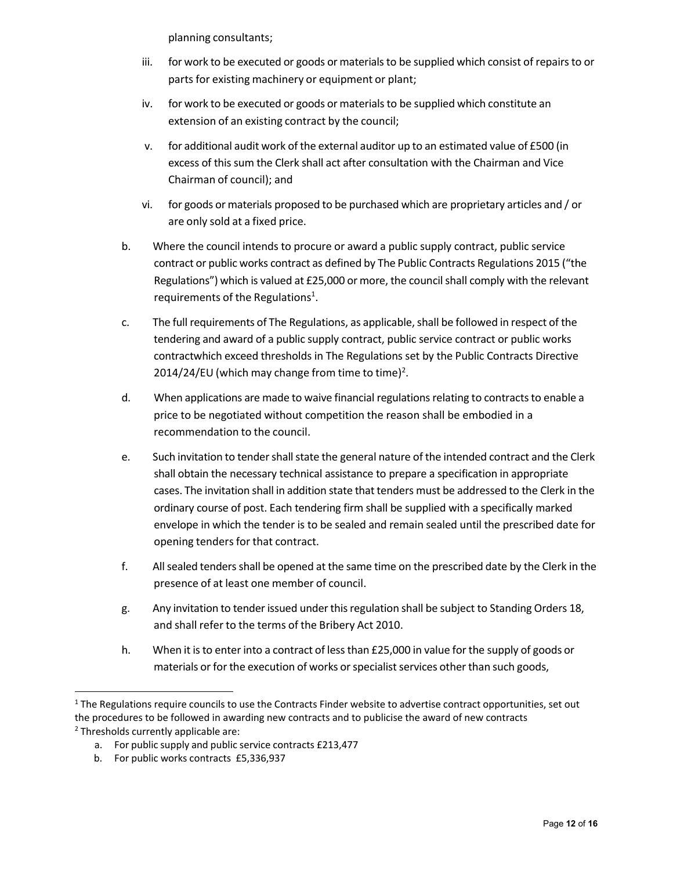planning consultants;

- iii. for work to be executed or goods or materialsto be supplied which consist of repairsto or parts for existing machinery or equipment or plant;
- iv. for work to be executed or goods or materials to be supplied which constitute an extension of an existing contract by the council;
- v. for additional audit work of the external auditor up to an estimated value of £500 (in excess of this sum the Clerk shall act after consultation with the Chairman and Vice Chairman of council); and
- vi. for goods or materials proposed to be purchased which are proprietary articles and / or are only sold at a fixed price.
- b. Where the council intends to procure or award a public supply contract, public service contract or public works contract as defined by The Public Contracts Regulations 2015 ("the Regulations") which is valued at £25,000 or more, the council shall comply with the relevant requirements of the Regulations<sup>1</sup>.
- c. The full requirements of The Regulations, as applicable, shall be followed in respect of the tendering and award of a public supply contract, public service contract or public works contractwhich exceed thresholds in The Regulations set by the Public Contracts Directive 2014/24/EU (which may change from time to time)<sup>2</sup>.
- d. When applications are made to waive financial regulations relating to contracts to enable a price to be negotiated without competition the reason shall be embodied in a recommendation to the council.
- e. Such invitation to tender shall state the general nature of the intended contract and the Clerk shall obtain the necessary technical assistance to prepare a specification in appropriate cases. The invitation shall in addition state that tenders must be addressed to the Clerk in the ordinary course of post. Each tendering firm shall be supplied with a specifically marked envelope in which the tender is to be sealed and remain sealed until the prescribed date for opening tenders for that contract.
- f. All sealed tenders shall be opened at the same time on the prescribed date by the Clerk in the presence of at least one member of council.
- g. Any invitation to tender issued under this regulation shall be subject to Standing Orders 18, and shall refer to the terms of the Bribery Act 2010.
- h. When it is to enter into a contract of less than £25,000 in value for the supply of goods or materials or for the execution of works or specialist services other than such goods,

 $1$  The Regulations require councils to use the Contracts Finder website to advertise contract opportunities, set out the procedures to be followed in awarding new contracts and to publicise the award of new contracts  $2$  Thresholds currently applicable are:

a. For public supply and public service contracts £213,477

b. For public works contracts £5,336,937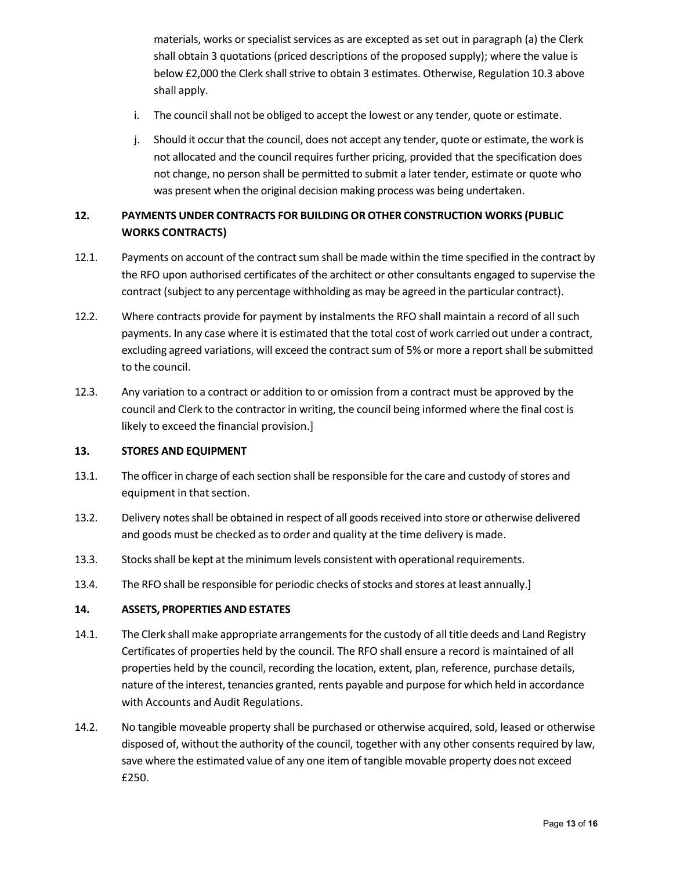materials, works or specialist services as are excepted as set out in paragraph (a) the Clerk shall obtain 3 quotations (priced descriptions of the proposed supply); where the value is below £2,000 the Clerk shall strive to obtain 3 estimates. Otherwise, Regulation 10.3 above shall apply.

- i. The council shall not be obliged to accept the lowest or any tender, quote or estimate.
- j. Should it occur that the council, does not accept any tender, quote or estimate, the work is not allocated and the council requires further pricing, provided that the specification does not change, no person shall be permitted to submit a later tender, estimate or quote who was present when the original decision making process was being undertaken.

## **12. PAYMENTS UNDER CONTRACTS FOR BUILDING OR OTHER CONSTRUCTION WORKS (PUBLIC WORKS CONTRACTS)**

- 12.1. Payments on account of the contract sum shall be made within the time specified in the contract by the RFO upon authorised certificates of the architect or other consultants engaged to supervise the contract (subject to any percentage withholding as may be agreed in the particular contract).
- 12.2. Where contracts provide for payment by instalments the RFO shall maintain a record of all such payments. In any case where it is estimated that the total cost of work carried out under a contract, excluding agreed variations, will exceed the contract sum of 5% or more a report shall be submitted to the council.
- 12.3. Any variation to a contract or addition to or omission from a contract must be approved by the council and Clerk to the contractor in writing, the council being informed where the final cost is likely to exceed the financial provision.]

#### **13. STORES AND EQUIPMENT**

- 13.1. The officer in charge of each section shall be responsible for the care and custody of stores and equipment in that section.
- 13.2. Delivery notes shall be obtained in respect of all goods received into store or otherwise delivered and goods must be checked as to order and quality at the time delivery is made.
- 13.3. Stocksshall be kept at the minimum levels consistent with operational requirements.
- 13.4. The RFO shall be responsible for periodic checks of stocks and stores at least annually.]

#### **14. ASSETS, PROPERTIES AND ESTATES**

- 14.1. The Clerk shall make appropriate arrangements for the custody of all title deeds and Land Registry Certificates of properties held by the council. The RFO shall ensure a record is maintained of all properties held by the council, recording the location, extent, plan, reference, purchase details, nature of the interest, tenancies granted, rents payable and purpose for which held in accordance with Accounts and Audit Regulations.
- 14.2. No tangible moveable property shall be purchased or otherwise acquired, sold, leased or otherwise disposed of, without the authority of the council, together with any other consents required by law, save where the estimated value of any one item of tangible movable property does not exceed £250.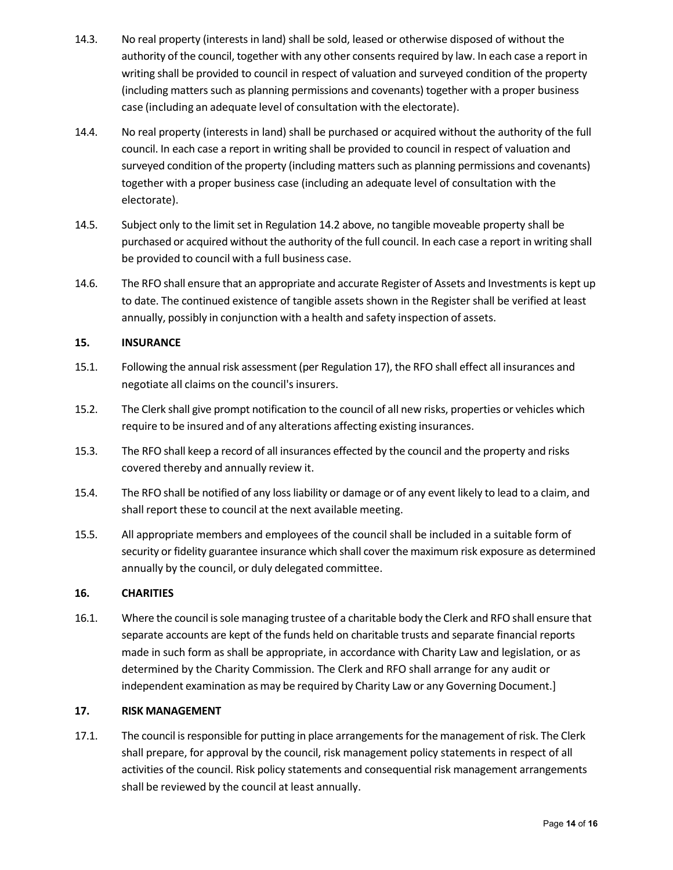- 14.3. No real property (interests in land) shall be sold, leased or otherwise disposed of without the authority of the council, together with any other consents required by law. In each case a report in writing shall be provided to council in respect of valuation and surveyed condition of the property (including matters such as planning permissions and covenants) together with a proper business case (including an adequate level of consultation with the electorate).
- 14.4. No real property (interests in land) shall be purchased or acquired without the authority of the full council. In each case a report in writing shall be provided to council in respect of valuation and surveyed condition of the property (including matters such as planning permissions and covenants) together with a proper business case (including an adequate level of consultation with the electorate).
- 14.5. Subject only to the limit set in Regulation 14.2 above, no tangible moveable property shall be purchased or acquired without the authority of the full council. In each case a report in writing shall be provided to council with a full business case.
- 14.6. The RFO shall ensure that an appropriate and accurate Register of Assets and Investmentsis kept up to date. The continued existence of tangible assets shown in the Register shall be verified at least annually, possibly in conjunction with a health and safety inspection of assets.

#### **15. INSURANCE**

- 15.1. Following the annual risk assessment (per Regulation 17), the RFO shall effect all insurances and negotiate all claims on the council's insurers.
- 15.2. The Clerk shall give prompt notification to the council of all new risks, properties or vehicles which require to be insured and of any alterations affecting existing insurances.
- 15.3. The RFO shall keep a record of all insurances effected by the council and the property and risks covered thereby and annually review it.
- 15.4. The RFO shall be notified of any lossliability or damage or of any event likely to lead to a claim, and shall report these to council at the next available meeting.
- 15.5. All appropriate members and employees of the council shall be included in a suitable form of security or fidelity guarantee insurance which shall cover the maximum risk exposure as determined annually by the council, or duly delegated committee.

#### **16. CHARITIES**

16.1. Where the council issole managing trustee of a charitable body the Clerk and RFO shall ensure that separate accounts are kept of the funds held on charitable trusts and separate financial reports made in such form as shall be appropriate, in accordance with Charity Law and legislation, or as determined by the Charity Commission. The Clerk and RFO shall arrange for any audit or independent examination as may be required by Charity Law or any Governing Document.]

#### **17. RISK MANAGEMENT**

17.1. The council is responsible for putting in place arrangements for the management of risk. The Clerk shall prepare, for approval by the council, risk management policy statements in respect of all activities of the council. Risk policy statements and consequential risk management arrangements shall be reviewed by the council at least annually.